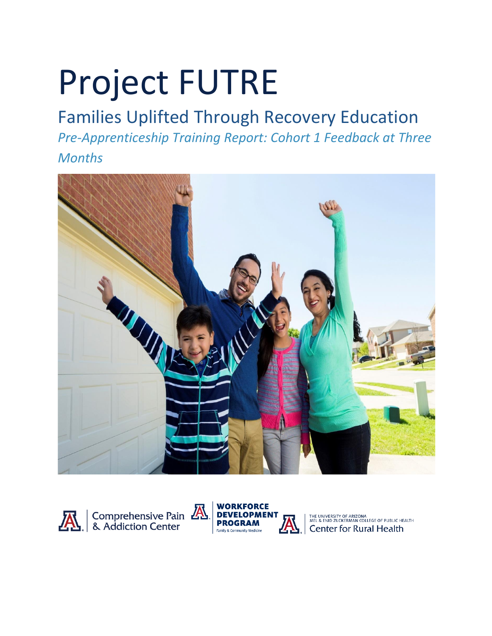# Project FUTRE

# Families Uplifted Through Recovery Education

*Pre-Apprenticeship Training Report: Cohort 1 Feedback at Three Months*







THE UNIVERSITY OF ARIZONA<br>MEL & ENID ZUCKERMAN COLLEGE OF PUBLIC HEALTH<br>Center for Rural Health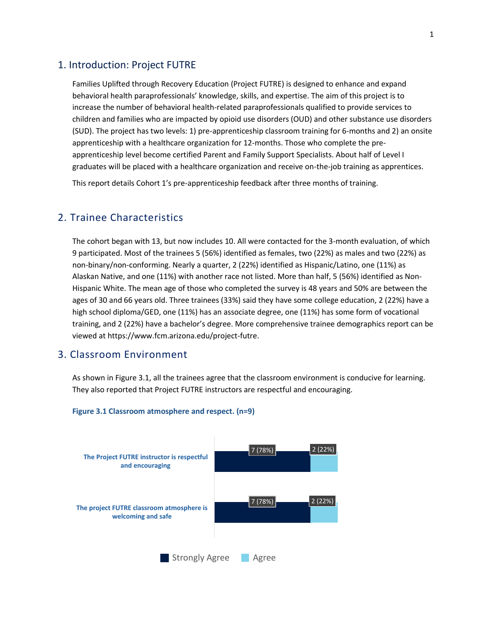#### 1. Introduction: Project FUTRE

Families Uplifted through Recovery Education (Project FUTRE) is designed to enhance and expand behavioral health paraprofessionals' knowledge, skills, and expertise. The aim of this project is to increase the number of behavioral health-related paraprofessionals qualified to provide services to children and families who are impacted by opioid use disorders (OUD) and other substance use disorders (SUD). The project has two levels: 1) pre-apprenticeship classroom training for 6-months and 2) an onsite apprenticeship with a healthcare organization for 12-months. Those who complete the preapprenticeship level become certified Parent and Family Support Specialists. About half of Level I graduates will be placed with a healthcare organization and receive on-the-job training as apprentices.

This report details Cohort 1's pre-apprenticeship feedback after three months of training.

#### 2. Trainee Characteristics

The cohort began with 13, but now includes 10. All were contacted for the 3-month evaluation, of which 9 participated. Most of the trainees 5 (56%) identified as females, two (22%) as males and two (22%) as non-binary/non-conforming. Nearly a quarter, 2 (22%) identified as Hispanic/Latino, one (11%) as Alaskan Native, and one (11%) with another race not listed. More than half, 5 (56%) identified as Non-Hispanic White. The mean age of those who completed the survey is 48 years and 50% are between the ages of 30 and 66 years old. Three trainees (33%) said they have some college education, 2 (22%) have a high school diploma/GED, one (11%) has an associate degree, one (11%) has some form of vocational training, and 2 (22%) have a bachelor's degree. More comprehensive trainee demographics report can be viewed at [https://www.fcm.arizona.edu/project-futre.](https://www.fcm.arizona.edu/workforce-development-program/project-futre)

#### 3. Classroom Environment

As shown in Figure 3.1, all the trainees agree that the classroom environment is conducive for learning. They also reported that Project FUTRE instructors are respectful and encouraging.



#### **Figure 3.1 Classroom atmosphere and respect. (n=9)**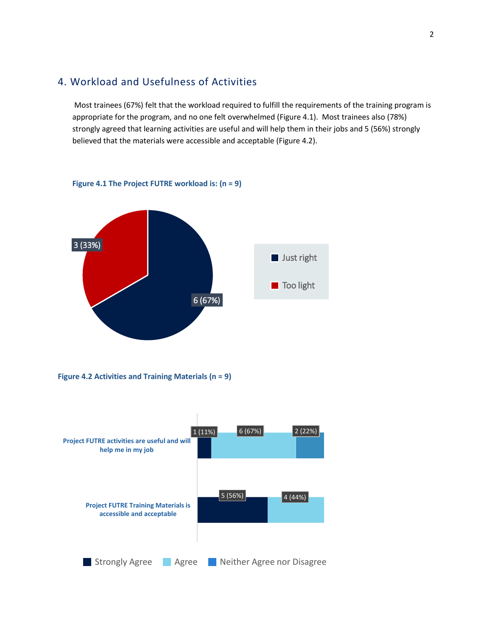# 4. Workload and Usefulness of Activities

**Figure 4.1 The Project FUTRE workload is: (n = 9)**

Most trainees (67%) felt that the workload required to fulfill the requirements of the training program is appropriate for the program, and no one felt overwhelmed (Figure 4.1). Most trainees also (78%) strongly agreed that learning activities are useful and will help them in their jobs and 5 (56%) strongly believed that the materials were accessible and acceptable (Figure 4.2).



**Figure 4.2 Activities and Training Materials (n = 9)**

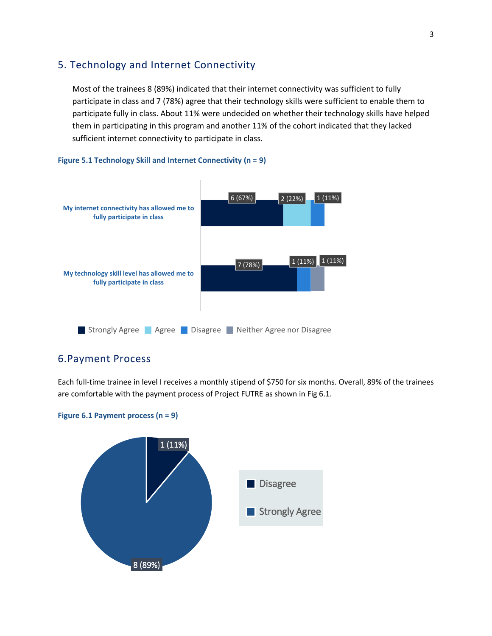# 5. Technology and Internet Connectivity

Most of the trainees 8 (89%) indicated that their internet connectivity was sufficient to fully participate in class and 7 (78%) agree that their technology skills were sufficient to enable them to participate fully in class. About 11% were undecided on whether their technology skills have helped them in participating in this program and another 11% of the cohort indicated that they lacked sufficient internet connectivity to participate in class.

#### **Figure 5.1 Technology Skill and Internet Connectivity (n = 9)**



#### 6.Payment Process

Each full-time trainee in level I receives a monthly stipend of \$750 for six months. Overall, 89% of the trainees are comfortable with the payment process of Project FUTRE as shown in Fig 6.1.

#### **Figure 6.1 Payment process (n = 9)**